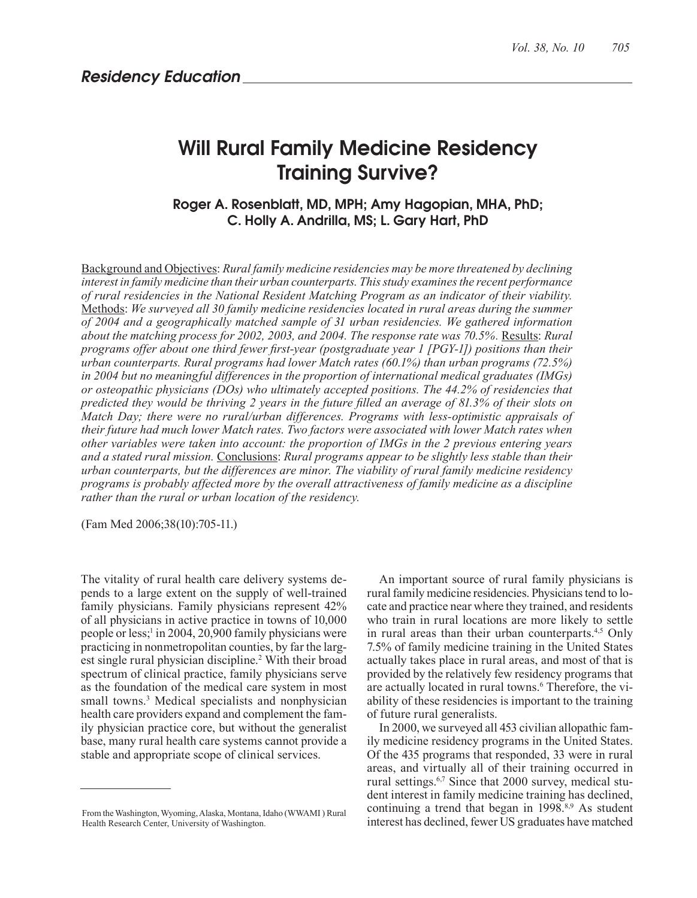# Will Rural Family Medicine Residency Training Survive?

Roger A. Rosenblatt, MD, MPH; Amy Hagopian, MHA, PhD; C. Holly A. Andrilla, MS; L. Gary Hart, PhD

Background and Objectives: *Rural family medicine residencies may be more threatened by declining interest in family medicine than their urban counterparts. This study examines the recent performance of rural residencies in the National Resident Matching Program as an indicator of their viability.* Methods: *We surveyed all 30 family medicine residencies located in rural areas during the summer of 2004 and a geographically matched sample of 31 urban residencies. We gathered information about the matching process for 2002, 2003, and 2004. The response rate was 70.5%.* Results: *Rural programs offer about one third fewer first-year (postgraduate year 1 [PGY-1]) positions than their urban counterparts. Rural programs had lower Match rates (60.1%) than urban programs (72.5%) in 2004 but no meaningful differences in the proportion of international medical graduates (IMGs) or osteopathic physicians (DOs) who ultimately accepted positions. The 44.2% of residencies that predicted they would be thriving 2 years in the future filled an average of 81.3% of their slots on Match Day; there were no rural/urban differences. Programs with less-optimistic appraisals of their future had much lower Match rates. Two factors were associated with lower Match rates when other variables were taken into account: the proportion of IMGs in the 2 previous entering years and a stated rural mission.* Conclusions: *Rural programs appear to be slightly less stable than their urban counterparts, but the differences are minor. The viability of rural family medicine residency programs is probably affected more by the overall attractiveness of family medicine as a discipline rather than the rural or urban location of the residency.*

(Fam Med 2006;38(10):705-11.)

The vitality of rural health care delivery systems depends to a large extent on the supply of well-trained family physicians. Family physicians represent 42% of all physicians in active practice in towns of 10,000 people or less;<sup>1</sup> in 2004, 20,900 family physicians were practicing in nonmetropolitan counties, by far the largest single rural physician discipline.<sup>2</sup> With their broad spectrum of clinical practice, family physicians serve as the foundation of the medical care system in most small towns.<sup>3</sup> Medical specialists and nonphysician health care providers expand and complement the family physician practice core, but without the generalist base, many rural health care systems cannot provide a stable and appropriate scope of clinical services.

An important source of rural family physicians is rural family medicine residencies. Physicians tend to locate and practice near where they trained, and residents who train in rural locations are more likely to settle in rural areas than their urban counterparts.4,5 Only 7.5% of family medicine training in the United States actually takes place in rural areas, and most of that is provided by the relatively few residency programs that are actually located in rural towns.<sup>6</sup> Therefore, the viability of these residencies is important to the training of future rural generalists.

In 2000, we surveyed all 453 civilian allopathic family medicine residency programs in the United States. Of the 435 programs that responded, 33 were in rural areas, and virtually all of their training occurred in rural settings.<sup>6,7</sup> Since that 2000 survey, medical student interest in family medicine training has declined, continuing a trend that began in 1998.<sup>8,9</sup> As student interest has declined, fewer US graduates have matched

From the Washington, Wyoming, Alaska, Montana, Idaho (WWAMI ) Rural Health Research Center, University of Washington.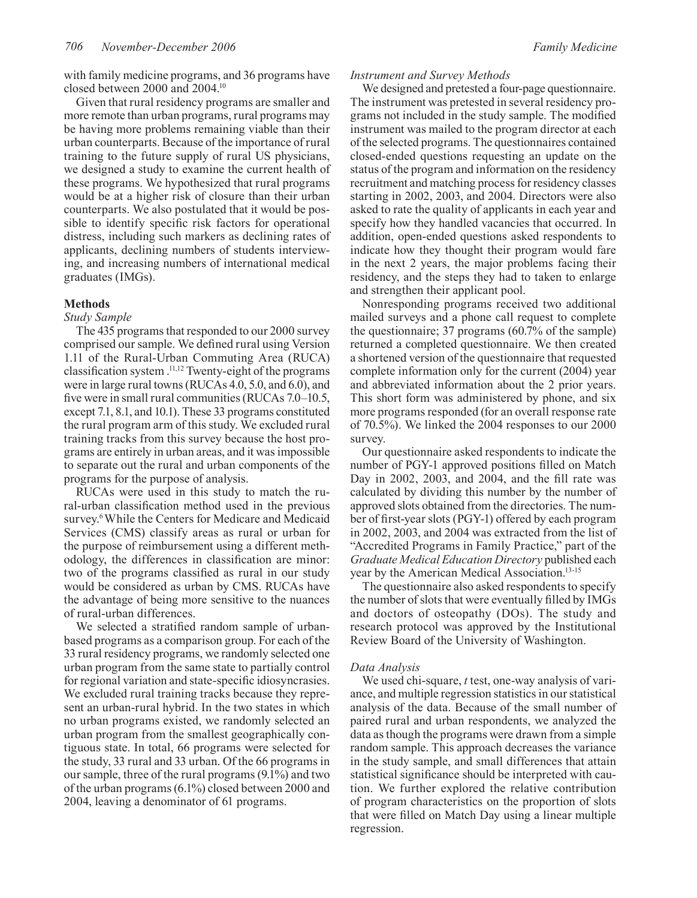with family medicine programs, and 36 programs have closed between 2000 and 2004.10

Given that rural residency programs are smaller and more remote than urban programs, rural programs may be having more problems remaining viable than their urban counterparts. Because of the importance of rural training to the future supply of rural US physicians, we designed a study to examine the current health of these programs. We hypothesized that rural programs would be at a higher risk of closure than their urban counterparts. We also postulated that it would be possible to identify specific risk factors for operational distress, including such markers as declining rates of applicants, declining numbers of students interviewing, and increasing numbers of international medical graduates (IMGs).

## **Methods**

## *Study Sample*

The 435 programs that responded to our 2000 survey comprised our sample. We defined rural using Version 1.11 of the Rural-Urban Commuting Area (RUCA) classification system .11,12 Twenty-eight of the programs were in large rural towns (RUCAs 4.0, 5.0, and 6.0), and five were in small rural communities (RUCAs 7.0–10.5, except 7.1, 8.1, and 10.1). These 33 programs constituted the rural program arm of this study. We excluded rural training tracks from this survey because the host programs are entirely in urban areas, and it was impossible to separate out the rural and urban components of the programs for the purpose of analysis.

RUCAs were used in this study to match the rural-urban classification method used in the previous survey.<sup>6</sup> While the Centers for Medicare and Medicaid Services (CMS) classify areas as rural or urban for the purpose of reimbursement using a different methodology, the differences in classification are minor: two of the programs classified as rural in our study would be considered as urban by CMS. RUCAs have the advantage of being more sensitive to the nuances of rural-urban differences.

We selected a stratified random sample of urbanbased programs as a comparison group. For each of the 33 rural residency programs, we randomly selected one urban program from the same state to partially control for regional variation and state-specific idiosyncrasies. We excluded rural training tracks because they represent an urban-rural hybrid. In the two states in which no urban programs existed, we randomly selected an urban program from the smallest geographically contiguous state. In total, 66 programs were selected for the study, 33 rural and 33 urban. Of the 66 programs in our sample, three of the rural programs (9.1%) and two of the urban programs (6.1%) closed between 2000 and 2004, leaving a denominator of 61 programs.

#### *Instrument and Survey Methods*

We designed and pretested a four-page questionnaire. The instrument was pretested in several residency programs not included in the study sample. The modified instrument was mailed to the program director at each of the selected programs. The questionnaires contained closed-ended questions requesting an update on the status of the program and information on the residency recruitment and matching process for residency classes starting in 2002, 2003, and 2004. Directors were also asked to rate the quality of applicants in each year and specify how they handled vacancies that occurred. In addition, open-ended questions asked respondents to indicate how they thought their program would fare in the next 2 years, the major problems facing their residency, and the steps they had to taken to enlarge and strengthen their applicant pool.

Nonresponding programs received two additional mailed surveys and a phone call request to complete the questionnaire; 37 programs (60.7% of the sample) returned a completed questionnaire. We then created a shortened version of the questionnaire that requested complete information only for the current (2004) year and abbreviated information about the 2 prior years. This short form was administered by phone, and six more programs responded (for an overall response rate of 70.5%). We linked the 2004 responses to our 2000 survey.

Our questionnaire asked respondents to indicate the number of PGY-1 approved positions filled on Match Day in 2002, 2003, and 2004, and the fill rate was calculated by dividing this number by the number of approved slots obtained from the directories. The number of first-year slots (PGY-1) offered by each program in 2002, 2003, and 2004 was extracted from the list of "Accredited Programs in Family Practice," part of the *Graduate Medical Education Directory* published each year by the American Medical Association.13-15

The questionnaire also asked respondents to specify the number of slots that were eventually filled by IMGs and doctors of osteopathy (DOs). The study and research protocol was approved by the Institutional Review Board of the University of Washington.

## *Data Analysis*

We used chi-square, *t* test, one-way analysis of variance, and multiple regression statistics in our statistical analysis of the data. Because of the small number of paired rural and urban respondents, we analyzed the data as though the programs were drawn from a simple random sample. This approach decreases the variance in the study sample, and small differences that attain statistical significance should be interpreted with caution. We further explored the relative contribution of program characteristics on the proportion of slots that were filled on Match Day using a linear multiple regression.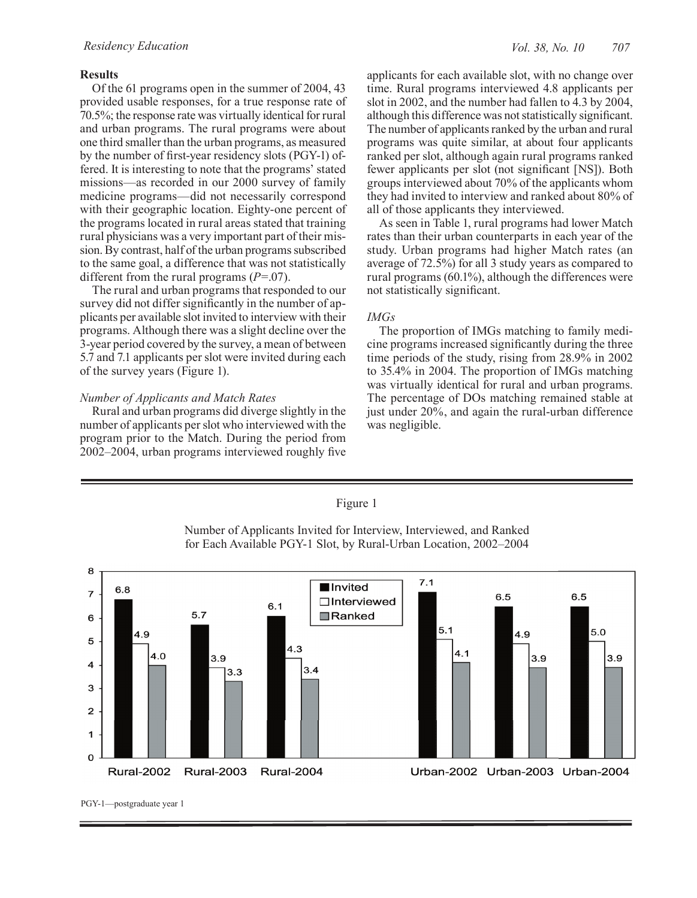# **Results**

Of the 61 programs open in the summer of 2004, 43 provided usable responses, for a true response rate of 70.5%; the response rate was virtually identical for rural and urban programs. The rural programs were about one third smaller than the urban programs, as measured by the number of first-year residency slots (PGY-1) offered. It is interesting to note that the programs' stated missions—as recorded in our 2000 survey of family medicine programs—did not necessarily correspond with their geographic location. Eighty-one percent of the programs located in rural areas stated that training rural physicians was a very important part of their mission. By contrast, half of the urban programs subscribed to the same goal, a difference that was not statistically different from the rural programs (*P*=.07).

The rural and urban programs that responded to our survey did not differ significantly in the number of applicants per available slot invited to interview with their programs. Although there was a slight decline over the 3-year period covered by the survey, a mean of between 5.7 and 7.1 applicants per slot were invited during each of the survey years (Figure 1).

# *Number of Applicants and Match Rates*

Rural and urban programs did diverge slightly in the number of applicants per slot who interviewed with the program prior to the Match. During the period from 2002–2004, urban programs interviewed roughly five

applicants for each available slot, with no change over time. Rural programs interviewed 4.8 applicants per slot in 2002, and the number had fallen to 4.3 by 2004, although this difference was not statistically significant. The number of applicants ranked by the urban and rural programs was quite similar, at about four applicants ranked per slot, although again rural programs ranked fewer applicants per slot (not significant [NS]). Both groups interviewed about 70% of the applicants whom they had invited to interview and ranked about 80% of all of those applicants they interviewed.

As seen in Table 1, rural programs had lower Match rates than their urban counterparts in each year of the study. Urban programs had higher Match rates (an average of 72.5%) for all 3 study years as compared to rural programs (60.1%), although the differences were not statistically significant.

# *IMGs*

The proportion of IMGs matching to family medicine programs increased significantly during the three time periods of the study, rising from 28.9% in 2002 to 35.4% in 2004. The proportion of IMGs matching was virtually identical for rural and urban programs. The percentage of DOs matching remained stable at just under 20%, and again the rural-urban difference was negligible.

# Figure 1

Number of Applicants Invited for Interview, Interviewed, and Ranked for Each Available PGY-1 Slot, by Rural-Urban Location, 2002–2004



PGY-1—postgraduate year 1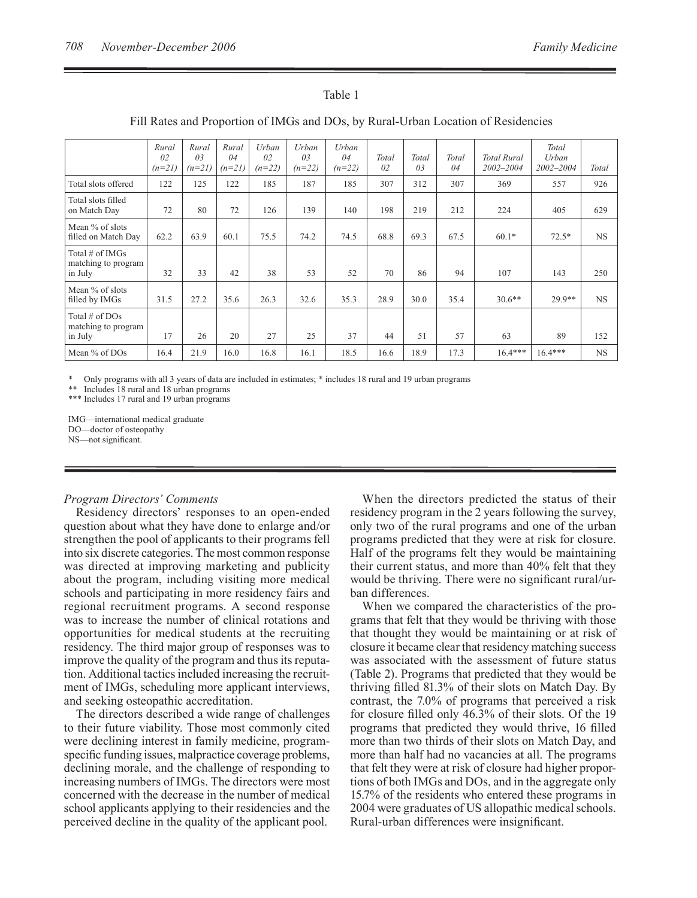| Fill Rates and Proportion of IMGs and DOS, by Rural-Urban Location of Residencies |                                     |                                     |                         |                                     |                         |                         |                         |                         |             |                                 |                                 |              |
|-----------------------------------------------------------------------------------|-------------------------------------|-------------------------------------|-------------------------|-------------------------------------|-------------------------|-------------------------|-------------------------|-------------------------|-------------|---------------------------------|---------------------------------|--------------|
|                                                                                   | Rural<br>0 <sub>2</sub><br>$(n=21)$ | Rural<br>0 <sub>3</sub><br>$(n=21)$ | Rural<br>04<br>$(n=21)$ | Urban<br>0 <sub>2</sub><br>$(n=22)$ | Urban<br>03<br>$(n=22)$ | Urban<br>04<br>$(n=22)$ | Total<br>0 <sub>2</sub> | Total<br>0 <sub>3</sub> | Total<br>04 | <b>Total Rural</b><br>2002-2004 | Total<br>Urban<br>$2002 - 2004$ | <b>Total</b> |
| Total slots offered                                                               | 122                                 | 125                                 | 122                     | 185                                 | 187                     | 185                     | 307                     | 312                     | 307         | 369                             | 557                             | 926          |
| Total slots filled<br>on Match Day                                                | 72                                  | 80                                  | 72                      | 126                                 | 139                     | 140                     | 198                     | 219                     | 212         | 224                             | 405                             | 629          |
| Mean % of slots<br>filled on Match Day                                            | 62.2                                | 63.9                                | 60.1                    | 75.5                                | 74.2                    | 74.5                    | 68.8                    | 69.3                    | 67.5        | $60.1*$                         | $72.5*$                         | <b>NS</b>    |
| Total $#$ of IMGs<br>matching to program<br>in July                               | 32                                  | 33                                  | 42                      | 38                                  | 53                      | 52                      | 70                      | 86                      | 94          | 107                             | 143                             | 250          |
| Mean % of slots<br>filled by IMGs                                                 | 31.5                                | 27.2                                | 35.6                    | 26.3                                | 32.6                    | 35.3                    | 28.9                    | 30.0                    | 35.4        | $30.6**$                        | 29.9**                          | NS.          |
| Total $#$ of DOs<br>matching to program<br>in July                                | 17                                  | 26                                  | 20                      | 27                                  | 25                      | 37                      | 44                      | 51                      | 57          | 63                              | 89                              | 152          |
| Mean % of DOs                                                                     | 16.4                                | 21.9                                | 16.0                    | 16.8                                | 16.1                    | 18.5                    | 16.6                    | 18.9                    | 17.3        | $16.4***$                       | $16.4***$                       | <b>NS</b>    |

# Fill Rates and Proportion of IMGs and DOs, by Rural-Urban Location of Residencies

Table 1

\* Only programs with all 3 years of data are included in estimates; \* includes 18 rural and 19 urban programs

\*\* Includes 18 rural and 18 urban programs

\*\*\* Includes 17 rural and 19 urban programs

IMG—international medical graduate DO—doctor of osteopathy NS—not significant.

#### *Program Directors' Comments*

Residency directors' responses to an open-ended question about what they have done to enlarge and/or strengthen the pool of applicants to their programs fell into six discrete categories. The most common response was directed at improving marketing and publicity about the program, including visiting more medical schools and participating in more residency fairs and regional recruitment programs. A second response was to increase the number of clinical rotations and opportunities for medical students at the recruiting residency. The third major group of responses was to improve the quality of the program and thus its reputation. Additional tactics included increasing the recruitment of IMGs, scheduling more applicant interviews, and seeking osteopathic accreditation.

The directors described a wide range of challenges to their future viability. Those most commonly cited were declining interest in family medicine, programspecific funding issues, malpractice coverage problems, declining morale, and the challenge of responding to increasing numbers of IMGs. The directors were most concerned with the decrease in the number of medical school applicants applying to their residencies and the perceived decline in the quality of the applicant pool.

When the directors predicted the status of their residency program in the 2 years following the survey, only two of the rural programs and one of the urban programs predicted that they were at risk for closure. Half of the programs felt they would be maintaining their current status, and more than 40% felt that they would be thriving. There were no significant rural/urban differences.

When we compared the characteristics of the programs that felt that they would be thriving with those that thought they would be maintaining or at risk of closure it became clear that residency matching success was associated with the assessment of future status (Table 2). Programs that predicted that they would be thriving filled 81.3% of their slots on Match Day. By contrast, the 7.0% of programs that perceived a risk for closure filled only 46.3% of their slots. Of the 19 programs that predicted they would thrive, 16 filled more than two thirds of their slots on Match Day, and more than half had no vacancies at all. The programs that felt they were at risk of closure had higher proportions of both IMGs and DOs, and in the aggregate only 15.7% of the residents who entered these programs in 2004 were graduates of US allopathic medical schools. Rural-urban differences were insignificant.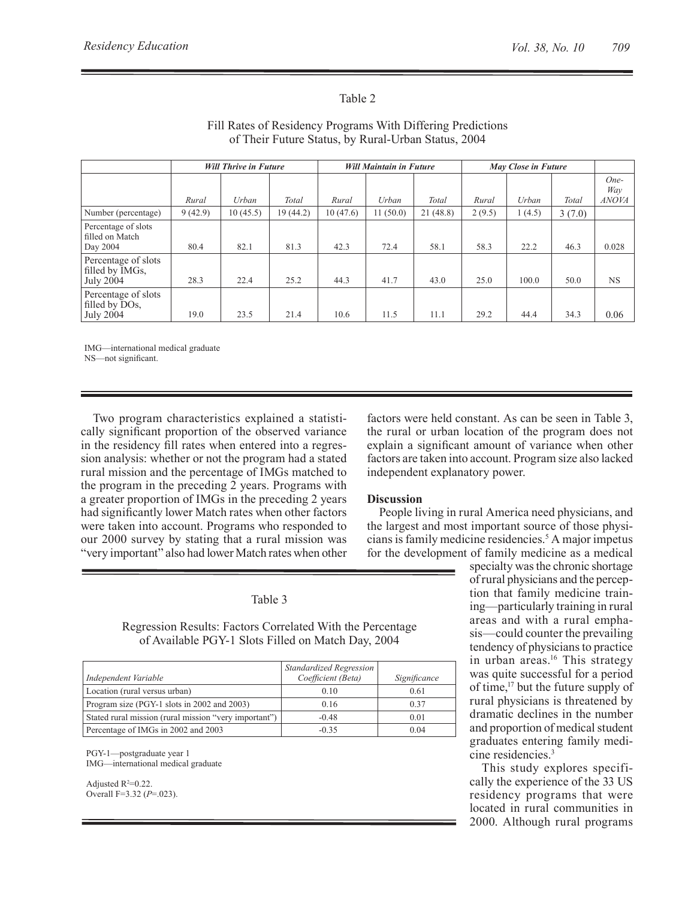# Table 2

|                                                           | <b>Will Thrive in Future</b> |          |          |          | <b>Will Maintain in Future</b> |          | May Close in Future |        |        |                             |
|-----------------------------------------------------------|------------------------------|----------|----------|----------|--------------------------------|----------|---------------------|--------|--------|-----------------------------|
|                                                           | Rural                        | Urban    | Total    | Rural    | Urban                          | Total    | Rural               | Urban  | Total  | One-<br>Way<br><b>ANOVA</b> |
| Number (percentage)                                       | 9(42.9)                      | 10(45.5) | 19(44.2) | 10(47.6) | 11(50.0)                       | 21(48.8) | 2(9.5)              | 1(4.5) | 3(7.0) |                             |
| Percentage of slots<br>filled on Match<br>Day 2004        | 80.4                         | 82.1     | 81.3     | 42.3     | 72.4                           | 58.1     | 58.3                | 22.2   | 46.3   | 0.028                       |
| Percentage of slots<br>filled by IMGs,<br>July 2004       | 28.3                         | 22.4     | 25.2     | 44.3     | 41.7                           | 43.0     | 25.0                | 100.0  | 50.0   | <b>NS</b>                   |
| Percentage of slots<br>filled by DOs,<br><b>July 2004</b> | 19.0                         | 23.5     | 21.4     | 10.6     | 11.5                           | 11.1     | 29.2                | 44.4   | 34.3   | 0.06                        |

# Fill Rates of Residency Programs With Differing Predictions of Their Future Status, by Rural-Urban Status, 2004

IMG—international medical graduate

NS—not significant.

Two program characteristics explained a statistically significant proportion of the observed variance in the residency fill rates when entered into a regression analysis: whether or not the program had a stated rural mission and the percentage of IMGs matched to the program in the preceding 2 years. Programs with a greater proportion of IMGs in the preceding 2 years had significantly lower Match rates when other factors were taken into account. Programs who responded to our 2000 survey by stating that a rural mission was "very important" also had lower Match rates when other

factors were held constant. As can be seen in Table 3, the rural or urban location of the program does not explain a significant amount of variance when other factors are taken into account. Program size also lacked independent explanatory power.

# **Discussion**

People living in rural America need physicians, and the largest and most important source of those physicians is family medicine residencies.<sup>5</sup> A major impetus for the development of family medicine as a medical

Table 3

Regression Results: Factors Correlated With the Percentage of Available PGY-1 Slots Filled on Match Day, 2004

|                                                       | Standardized Regression |              |
|-------------------------------------------------------|-------------------------|--------------|
| Independent Variable                                  | Coefficient (Beta)      | Significance |
| Location (rural versus urban)                         | 0.10                    | 0.61         |
| Program size (PGY-1 slots in 2002 and 2003)           | 0.16                    | 0.37         |
| Stated rural mission (rural mission "very important") | $-0.48$                 | 0.01         |
| Percentage of IMGs in 2002 and 2003                   | $-0.35$                 | 0.04         |

PGY-1—postgraduate year 1 IMG—international medical graduate

Adjusted  $R^2=0.22$ . Overall F=3.32 (*P*=.023). specialty was the chronic shortage of rural physicians and the perception that family medicine training—particularly training in rural areas and with a rural emphasis—could counter the prevailing tendency of physicians to practice in urban areas.<sup>16</sup> This strategy was quite successful for a period of time,17 but the future supply of rural physicians is threatened by dramatic declines in the number and proportion of medical student graduates entering family medicine residencies.3

This study explores specifically the experience of the 33 US residency programs that were located in rural communities in 2000. Although rural programs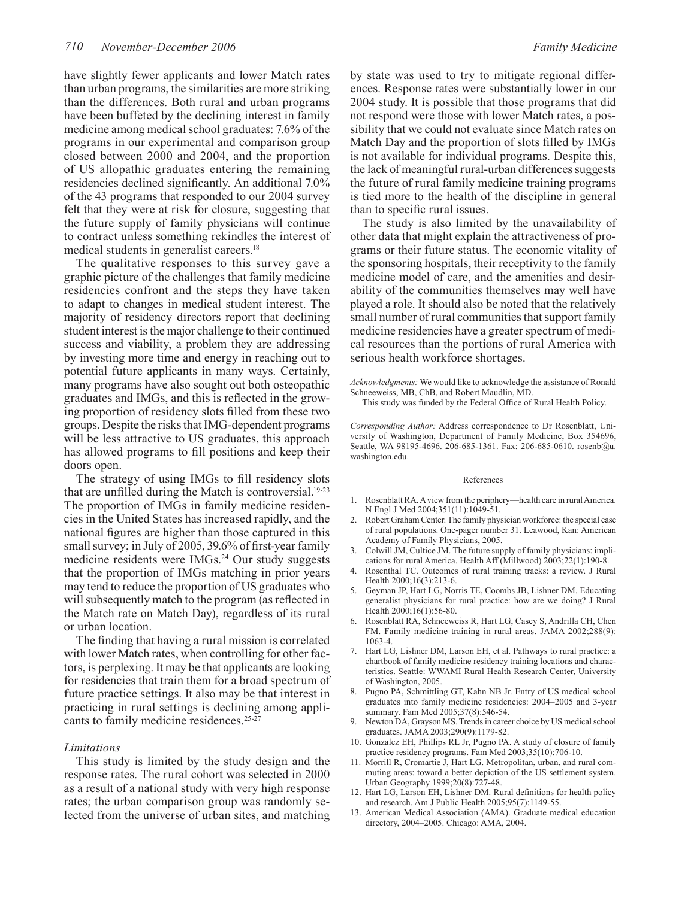have slightly fewer applicants and lower Match rates than urban programs, the similarities are more striking than the differences. Both rural and urban programs have been buffeted by the declining interest in family medicine among medical school graduates: 7.6% of the programs in our experimental and comparison group closed between 2000 and 2004, and the proportion of US allopathic graduates entering the remaining residencies declined significantly. An additional 7.0% of the 43 programs that responded to our 2004 survey felt that they were at risk for closure, suggesting that the future supply of family physicians will continue to contract unless something rekindles the interest of medical students in generalist careers.18

The qualitative responses to this survey gave a graphic picture of the challenges that family medicine residencies confront and the steps they have taken to adapt to changes in medical student interest. The majority of residency directors report that declining student interest is the major challenge to their continued success and viability, a problem they are addressing by investing more time and energy in reaching out to potential future applicants in many ways. Certainly, many programs have also sought out both osteopathic graduates and IMGs, and this is reflected in the growing proportion of residency slots filled from these two groups. Despite the risks that IMG-dependent programs will be less attractive to US graduates, this approach has allowed programs to fill positions and keep their doors open.

The strategy of using IMGs to fill residency slots that are unfilled during the Match is controversial.19-23 The proportion of IMGs in family medicine residencies in the United States has increased rapidly, and the national figures are higher than those captured in this small survey; in July of 2005, 39.6% of first-year family medicine residents were IMGs.<sup>24</sup> Our study suggests that the proportion of IMGs matching in prior years may tend to reduce the proportion of US graduates who will subsequently match to the program (as reflected in the Match rate on Match Day), regardless of its rural or urban location.

The finding that having a rural mission is correlated with lower Match rates, when controlling for other factors, is perplexing. It may be that applicants are looking for residencies that train them for a broad spectrum of future practice settings. It also may be that interest in practicing in rural settings is declining among applicants to family medicine residences.<sup>25-27</sup>

#### *Limitations*

This study is limited by the study design and the response rates. The rural cohort was selected in 2000 as a result of a national study with very high response rates; the urban comparison group was randomly selected from the universe of urban sites, and matching by state was used to try to mitigate regional differences. Response rates were substantially lower in our 2004 study. It is possible that those programs that did not respond were those with lower Match rates, a possibility that we could not evaluate since Match rates on Match Day and the proportion of slots filled by IMGs is not available for individual programs. Despite this, the lack of meaningful rural-urban differences suggests the future of rural family medicine training programs is tied more to the health of the discipline in general than to specific rural issues.

The study is also limited by the unavailability of other data that might explain the attractiveness of programs or their future status. The economic vitality of the sponsoring hospitals, their receptivity to the family medicine model of care, and the amenities and desirability of the communities themselves may well have played a role. It should also be noted that the relatively small number of rural communities that support family medicine residencies have a greater spectrum of medical resources than the portions of rural America with serious health workforce shortages.

*Acknowledgments:* We would like to acknowledge the assistance of Ronald Schneeweiss, MB, ChB, and Robert Maudlin, MD.

This study was funded by the Federal Office of Rural Health Policy.

*Corresponding Author:* Address correspondence to Dr Rosenblatt, University of Washington, Department of Family Medicine, Box 354696, Seattle, WA 98195-4696. 206-685-1361. Fax: 206-685-0610. rosenb@u. washington.edu.

#### References

- 1. Rosenblatt RA. A view from the periphery—health care in rural America. N Engl J Med 2004;351(11):1049-51.
- 2. Robert Graham Center. The family physician workforce: the special case of rural populations. One-pager number 31. Leawood, Kan: American Academy of Family Physicians, 2005.
- 3. Colwill JM, Cultice JM. The future supply of family physicians: implications for rural America. Health Aff (Millwood) 2003;22(1):190-8.
- 4. Rosenthal TC. Outcomes of rural training tracks: a review. J Rural Health 2000;16(3):213-6.
- 5. Geyman JP, Hart LG, Norris TE, Coombs JB, Lishner DM. Educating generalist physicians for rural practice: how are we doing? J Rural Health 2000;16(1):56-80.
- 6. Rosenblatt RA, Schneeweiss R, Hart LG, Casey S, Andrilla CH, Chen FM. Family medicine training in rural areas. JAMA 2002;288(9): 1063-4.
- 7. Hart LG, Lishner DM, Larson EH, et al. Pathways to rural practice: a chartbook of family medicine residency training locations and characteristics. Seattle: WWAMI Rural Health Research Center, University of Washington, 2005.
- 8. Pugno PA, Schmittling GT, Kahn NB Jr. Entry of US medical school graduates into family medicine residencies: 2004–2005 and 3-year summary. Fam Med 2005;37(8):546-54.
- 9. Newton DA, Grayson MS. Trends in career choice by US medical school graduates. JAMA 2003;290(9):1179-82.
- 10. Gonzalez EH, Phillips RL Jr, Pugno PA. A study of closure of family practice residency programs. Fam Med 2003;35(10):706-10.
- 11. Morrill R, Cromartie J, Hart LG. Metropolitan, urban, and rural commuting areas: toward a better depiction of the US settlement system. Urban Geography 1999;20(8):727-48.
- 12. Hart LG, Larson EH, Lishner DM. Rural definitions for health policy and research. Am J Public Health 2005;95(7):1149-55.
- 13. American Medical Association (AMA). Graduate medical education directory, 2004–2005. Chicago: AMA, 2004.